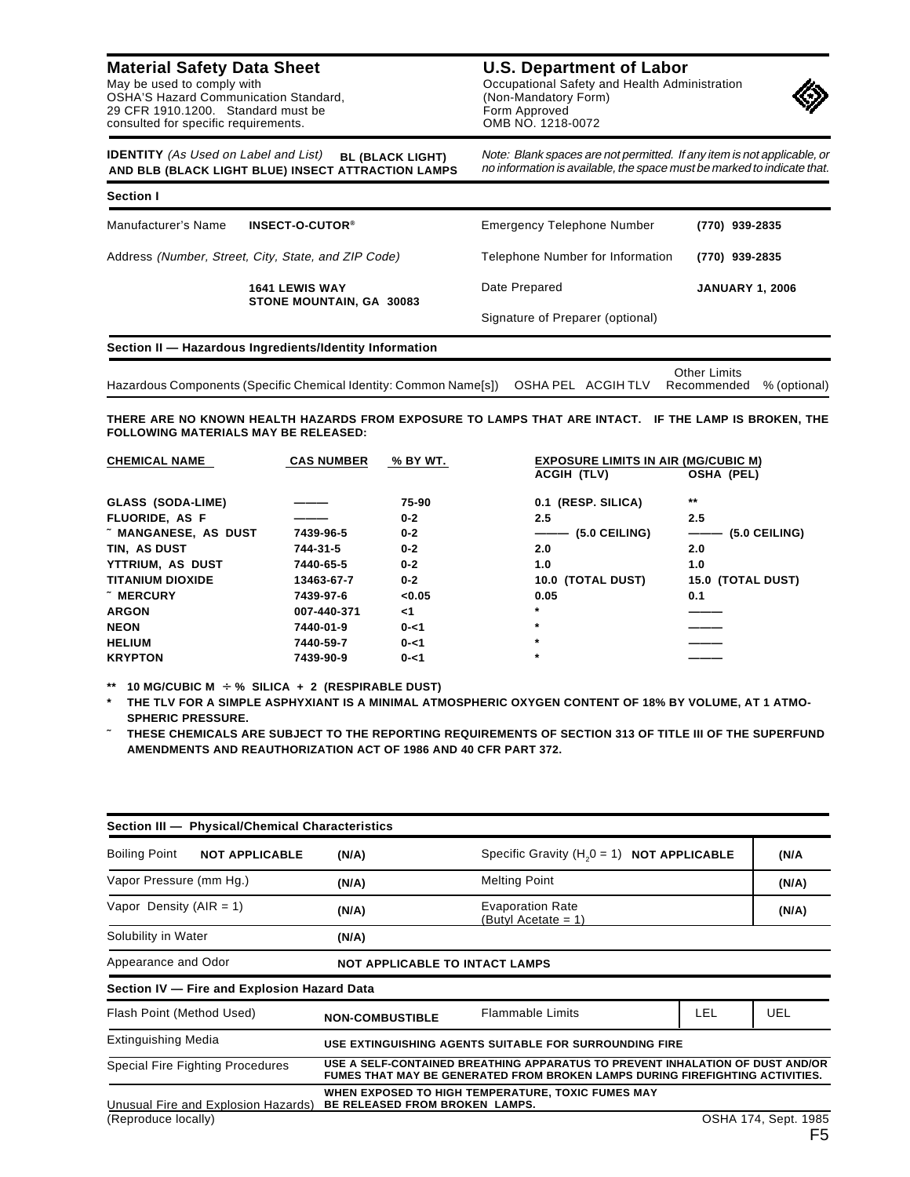**Material Safety Data Sheet** May be used to comply with

OSHA'S Hazard Communication Standard, 29 CFR 1910.1200. Standard must be consulted for specific requirements.

**U.S. Department of Labor** Occupational Safety and Health Administration (Non-Mandatory Form) Form Approved OMB NO. 1218-0072



Note: Blank spaces are not permitted. If any item is not applicable, or no information is available, the space must be marked to indicate that.

| <b>IDENTITY</b> (As Used on Label and List)        | <b>BL (BLACK LIGHT)</b> |  |
|----------------------------------------------------|-------------------------|--|
| AND BLB (BLACK LIGHT BLUE) INSECT ATTRACTION LAMPS |                         |  |

| <b>Section I</b><br>INSECT-O-CUTOR <sup>®</sup><br>Manufacturer's Name | Emergency Telephone Number       | (770) 939-2835         |  |
|------------------------------------------------------------------------|----------------------------------|------------------------|--|
| Address (Number, Street, City, State, and ZIP Code)                    | Telephone Number for Information | (770) 939-2835         |  |
| <b>1641 LEWIS WAY</b><br>STONE MOUNTAIN, GA 30083                      | Date Prepared                    | <b>JANUARY 1, 2006</b> |  |
|                                                                        | Signature of Preparer (optional) |                        |  |

|                                                                                                               |  | Other Limits |  |
|---------------------------------------------------------------------------------------------------------------|--|--------------|--|
| Hazardous Components (Specific Chemical Identity: Common Name[s]) OSHA PEL ACGIH TLV Recommended % (optional) |  |              |  |

**THERE ARE NO KNOWN HEALTH HAZARDS FROM EXPOSURE TO LAMPS THAT ARE INTACT. IF THE LAMP IS BROKEN, THE FOLLOWING MATERIALS MAY BE RELEASED:**

| <b>CHEMICAL NAME</b>      | <b>CAS NUMBER</b> | % BY WT. | <b>EXPOSURE LIMITS IN AIR (MG/CUBIC M)</b> |                           |  |
|---------------------------|-------------------|----------|--------------------------------------------|---------------------------|--|
|                           |                   |          | ACGIH (TLV)                                | <b>OSHA (PEL)</b>         |  |
| GLASS (SODA-LIME)         |                   | 75-90    | 0.1 (RESP. SILICA)                         | $***$                     |  |
| FLUORIDE, AS F            |                   | $0 - 2$  | 2.5                                        | 2.5                       |  |
| <b>MANGANESE, AS DUST</b> | 7439-96-5         | $0 - 2$  | ——— (5.0 CEILING)                          | $(5.0 \; \text{CEILING})$ |  |
| TIN, AS DUST              | 744-31-5          | $0 - 2$  | 2.0                                        | 2.0                       |  |
| YTTRIUM, AS DUST          | 7440-65-5         | $0 - 2$  | 1.0                                        | 1.0                       |  |
| <b>TITANIUM DIOXIDE</b>   | 13463-67-7        | $0 - 2$  | 10.0 (TOTAL DUST)                          | 15.0 (TOTAL DUST)         |  |
| $~\tilde{}$ MERCURY       | 7439-97-6         | < 0.05   | 0.05                                       | 0.1                       |  |
| <b>ARGON</b>              | 007-440-371       | $<$ 1    | $\star$                                    |                           |  |
| <b>NEON</b>               | 7440-01-9         | $0 - 1$  | $\star$                                    |                           |  |
| <b>HELIUM</b>             | 7440-59-7         | $0 - 1$  | $\ast$                                     |                           |  |
| <b>KRYPTON</b>            | 7439-90-9         | $0 - 1$  | $\star$                                    |                           |  |
|                           |                   |          |                                            |                           |  |

**\*\* 10 MG/CUBIC M** ÷ **% SILICA + 2 (RESPIRABLE DUST)**

**\* THE TLV FOR A SIMPLE ASPHYXIANT IS A MINIMAL ATMOSPHERIC OXYGEN CONTENT OF 18% BY VOLUME, AT 1 ATMO-SPHERIC PRESSURE.**

**˜ THESE CHEMICALS ARE SUBJECT TO THE REPORTING REQUIREMENTS OF SECTION 313 OF TITLE III OF THE SUPERFUND AMENDMENTS AND REAUTHORIZATION ACT OF 1986 AND 40 CFR PART 372.**

| Section III - Physical/Chemical Characteristics |                                                                                                                                                                |                                                    |            |                      |
|-------------------------------------------------|----------------------------------------------------------------------------------------------------------------------------------------------------------------|----------------------------------------------------|------------|----------------------|
| <b>Boiling Point</b><br><b>NOT APPLICABLE</b>   | (N/A)                                                                                                                                                          | Specific Gravity $(H20 = 1)$ <b>NOT APPLICABLE</b> |            | (N/A                 |
| Vapor Pressure (mm Hg.)                         | (N/A)                                                                                                                                                          | <b>Melting Point</b>                               |            | (N/A)                |
| Vapor Density ( $AIR = 1$ )                     | (N/A)                                                                                                                                                          | <b>Evaporation Rate</b><br>(Butyl Acetate = 1)     |            | (N/A)                |
| Solubility in Water                             | (N/A)                                                                                                                                                          |                                                    |            |                      |
| Appearance and Odor                             | <b>NOT APPLICABLE TO INTACT LAMPS</b>                                                                                                                          |                                                    |            |                      |
| Section IV - Fire and Explosion Hazard Data     |                                                                                                                                                                |                                                    |            |                      |
| Flash Point (Method Used)                       | <b>NON-COMBUSTIBLE</b>                                                                                                                                         | <b>Flammable Limits</b>                            | <b>LEL</b> | <b>UEL</b>           |
| <b>Extinguishing Media</b>                      | USE EXTINGUISHING AGENTS SUITABLE FOR SURROUNDING FIRE                                                                                                         |                                                    |            |                      |
| <b>Special Fire Fighting Procedures</b>         | USE A SELF-CONTAINED BREATHING APPARATUS TO PREVENT INHALATION OF DUST AND/OR<br>FUMES THAT MAY BE GENERATED FROM BROKEN LAMPS DURING FIREFIGHTING ACTIVITIES. |                                                    |            |                      |
| Unusual Fire and Explosion Hazards)             | BE RELEASED FROM BROKEN LAMPS.                                                                                                                                 | WHEN EXPOSED TO HIGH TEMPERATURE, TOXIC FUMES MAY  |            |                      |
| (Reproduce locally)                             |                                                                                                                                                                |                                                    |            | OSHA 174, Sept. 1985 |